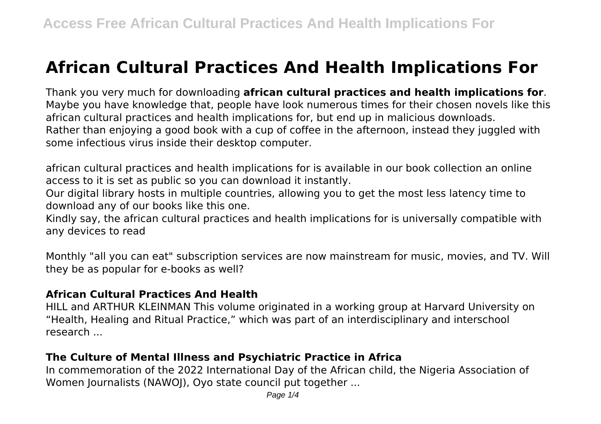# **African Cultural Practices And Health Implications For**

Thank you very much for downloading **african cultural practices and health implications for**. Maybe you have knowledge that, people have look numerous times for their chosen novels like this african cultural practices and health implications for, but end up in malicious downloads. Rather than enjoying a good book with a cup of coffee in the afternoon, instead they juggled with some infectious virus inside their desktop computer.

african cultural practices and health implications for is available in our book collection an online access to it is set as public so you can download it instantly.

Our digital library hosts in multiple countries, allowing you to get the most less latency time to download any of our books like this one.

Kindly say, the african cultural practices and health implications for is universally compatible with any devices to read

Monthly "all you can eat" subscription services are now mainstream for music, movies, and TV. Will they be as popular for e-books as well?

#### **African Cultural Practices And Health**

HILL and ARTHUR KLEINMAN This volume originated in a working group at Harvard University on "Health, Healing and Ritual Practice," which was part of an interdisciplinary and interschool research ...

## **The Culture of Mental Illness and Psychiatric Practice in Africa**

In commemoration of the 2022 International Day of the African child, the Nigeria Association of Women Journalists (NAWOJ), Oyo state council put together ...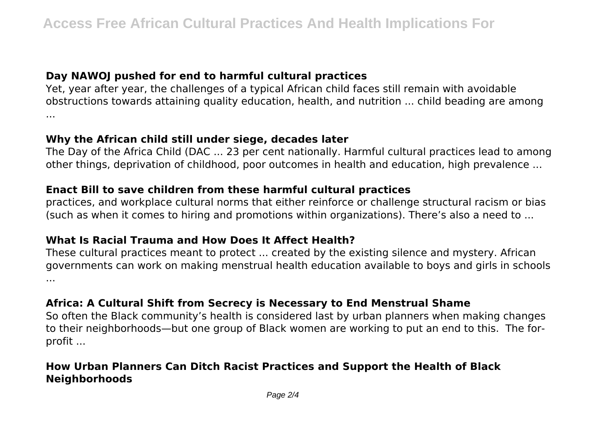# **Day NAWOJ pushed for end to harmful cultural practices**

Yet, year after year, the challenges of a typical African child faces still remain with avoidable obstructions towards attaining quality education, health, and nutrition ... child beading are among ...

## **Why the African child still under siege, decades later**

The Day of the Africa Child (DAC ... 23 per cent nationally. Harmful cultural practices lead to among other things, deprivation of childhood, poor outcomes in health and education, high prevalence ...

## **Enact Bill to save children from these harmful cultural practices**

practices, and workplace cultural norms that either reinforce or challenge structural racism or bias (such as when it comes to hiring and promotions within organizations). There's also a need to ...

# **What Is Racial Trauma and How Does It Affect Health?**

These cultural practices meant to protect ... created by the existing silence and mystery. African governments can work on making menstrual health education available to boys and girls in schools ...

# **Africa: A Cultural Shift from Secrecy is Necessary to End Menstrual Shame**

So often the Black community's health is considered last by urban planners when making changes to their neighborhoods—but one group of Black women are working to put an end to this. The forprofit ...

# **How Urban Planners Can Ditch Racist Practices and Support the Health of Black Neighborhoods**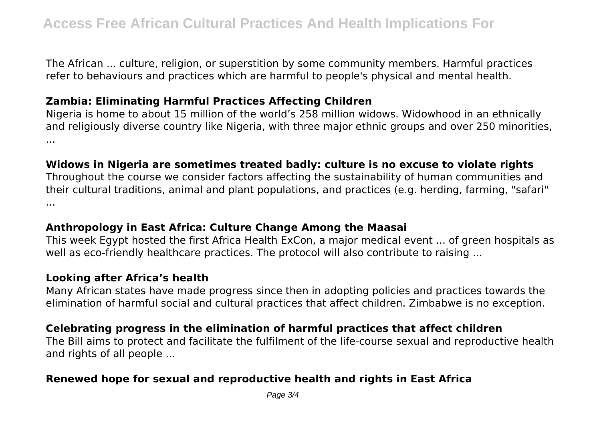The African ... culture, religion, or superstition by some community members. Harmful practices refer to behaviours and practices which are harmful to people's physical and mental health.

## **Zambia: Eliminating Harmful Practices Affecting Children**

Nigeria is home to about 15 million of the world's 258 million widows. Widowhood in an ethnically and religiously diverse country like Nigeria, with three major ethnic groups and over 250 minorities, ...

# **Widows in Nigeria are sometimes treated badly: culture is no excuse to violate rights**

Throughout the course we consider factors affecting the sustainability of human communities and their cultural traditions, animal and plant populations, and practices (e.g. herding, farming, "safari" ...

# **Anthropology in East Africa: Culture Change Among the Maasai**

This week Egypt hosted the first Africa Health ExCon, a major medical event ... of green hospitals as well as eco-friendly healthcare practices. The protocol will also contribute to raising ...

## **Looking after Africa's health**

Many African states have made progress since then in adopting policies and practices towards the elimination of harmful social and cultural practices that affect children. Zimbabwe is no exception.

# **Celebrating progress in the elimination of harmful practices that affect children**

The Bill aims to protect and facilitate the fulfilment of the life-course sexual and reproductive health and rights of all people ...

# **Renewed hope for sexual and reproductive health and rights in East Africa**

Page 3/4